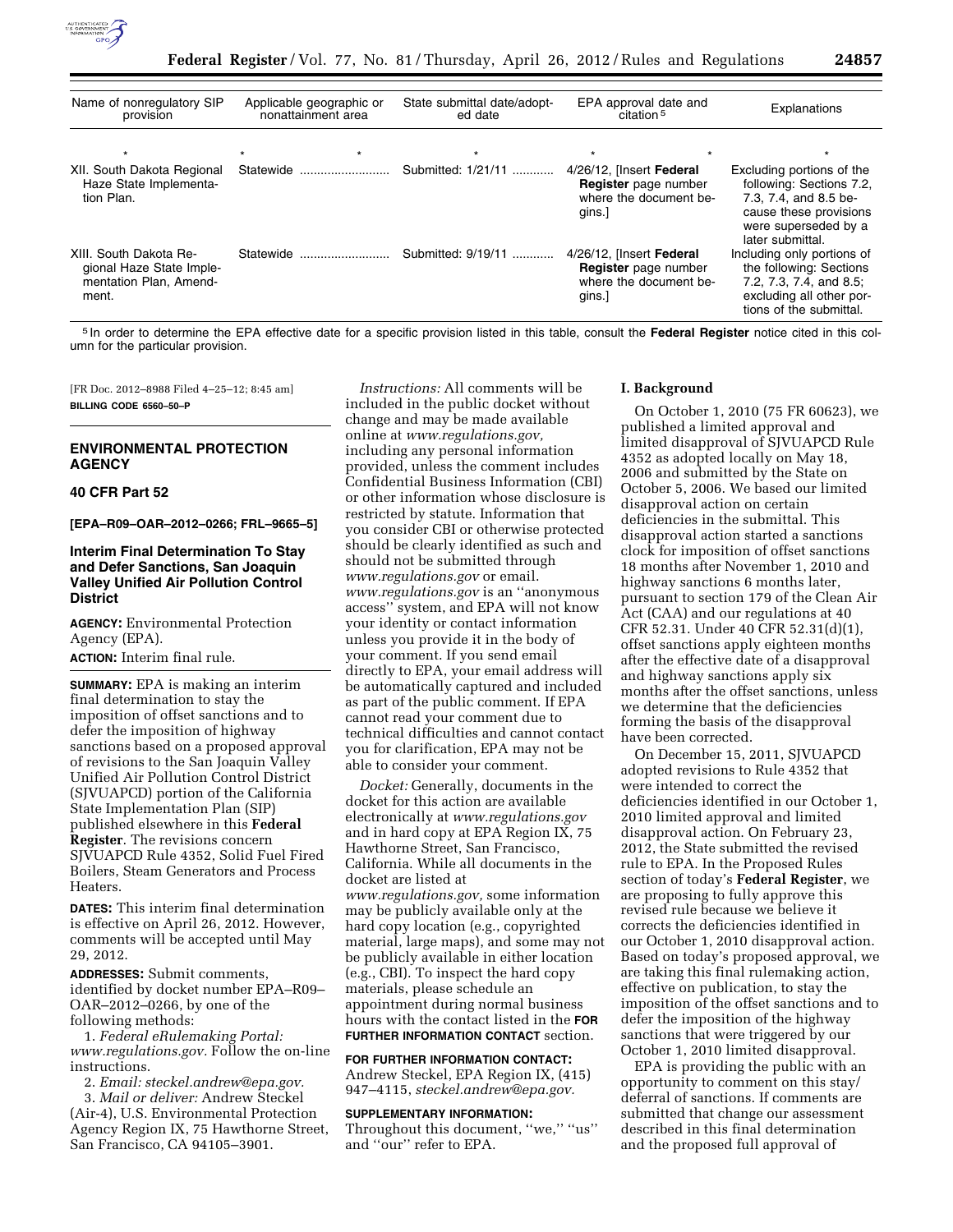

| Name of nonregulatory SIP<br>provision                                                | Applicable geographic or<br>nonattainment area | State submittal date/adopt-<br>ed date | EPA approval date and<br>citation <sup>5</sup>                                       | Explanations                                                                                                                                         |
|---------------------------------------------------------------------------------------|------------------------------------------------|----------------------------------------|--------------------------------------------------------------------------------------|------------------------------------------------------------------------------------------------------------------------------------------------------|
|                                                                                       |                                                |                                        |                                                                                      |                                                                                                                                                      |
| XII. South Dakota Regional<br>Haze State Implementa-<br>tion Plan.                    | Statewide                                      | Submitted: 1/21/11                     | 4/26/12, [Insert Federal<br>Register page number<br>where the document be-<br>qins.] | Excluding portions of the<br>following: Sections 7.2,<br>7.3, 7.4, and 8.5 be-<br>cause these provisions<br>were superseded by a<br>later submittal. |
| XIII. South Dakota Re-<br>gional Haze State Imple-<br>mentation Plan, Amend-<br>ment. | Statewide                                      | Submitted: 9/19/11                     | 4/26/12, [Insert Federal<br>Register page number<br>where the document be-<br>gins.  | Including only portions of<br>the following: Sections<br>7.2, 7.3, 7.4, and 8.5;<br>excluding all other por-<br>tions of the submittal.              |

5 In order to determine the EPA effective date for a specific provision listed in this table, consult the **Federal Register** notice cited in this column for the particular provision.

[FR Doc. 2012–8988 Filed 4–25–12; 8:45 am] **BILLING CODE 6560–50–P** 

### **ENVIRONMENTAL PROTECTION AGENCY**

### **40 CFR Part 52**

**[EPA–R09–OAR–2012–0266; FRL–9665–5]** 

# **Interim Final Determination To Stay and Defer Sanctions, San Joaquin Valley Unified Air Pollution Control District**

**AGENCY:** Environmental Protection Agency (EPA).

**ACTION:** Interim final rule.

**SUMMARY:** EPA is making an interim final determination to stay the imposition of offset sanctions and to defer the imposition of highway sanctions based on a proposed approval of revisions to the San Joaquin Valley Unified Air Pollution Control District (SJVUAPCD) portion of the California State Implementation Plan (SIP) published elsewhere in this **Federal Register**. The revisions concern SJVUAPCD Rule 4352, Solid Fuel Fired Boilers, Steam Generators and Process **Heaters** 

**DATES:** This interim final determination is effective on April 26, 2012. However, comments will be accepted until May 29, 2012.

**ADDRESSES:** Submit comments, identified by docket number EPA–R09– OAR–2012–0266, by one of the following methods:

1. *Federal eRulemaking Portal: [www.regulations.gov.](http://www.regulations.gov)* Follow the on-line instructions.

2. *Email: [steckel.andrew@epa.gov.](mailto:steckel.andrew@epa.gov)* 

3. *Mail or deliver:* Andrew Steckel (Air-4), U.S. Environmental Protection Agency Region IX, 75 Hawthorne Street, San Francisco, CA 94105–3901.

*Instructions:* All comments will be included in the public docket without change and may be made available online at *[www.regulations.gov,](http://www.regulations.gov)*  including any personal information provided, unless the comment includes Confidential Business Information (CBI) or other information whose disclosure is restricted by statute. Information that you consider CBI or otherwise protected should be clearly identified as such and should not be submitted through *[www.regulations.gov](http://www.regulations.gov)* or email. *[www.regulations.gov](http://www.regulations.gov)* is an ''anonymous access'' system, and EPA will not know your identity or contact information unless you provide it in the body of your comment. If you send email directly to EPA, your email address will be automatically captured and included as part of the public comment. If EPA cannot read your comment due to technical difficulties and cannot contact you for clarification, EPA may not be able to consider your comment.

*Docket:* Generally, documents in the docket for this action are available electronically at *[www.regulations.gov](http://www.regulations.gov)*  and in hard copy at EPA Region IX, 75 Hawthorne Street, San Francisco, California. While all documents in the docket are listed at *[www.regulations.gov,](http://www.regulations.gov)* some information may be publicly available only at the hard copy location (e.g., copyrighted material, large maps), and some may not be publicly available in either location (e.g., CBI). To inspect the hard copy materials, please schedule an appointment during normal business hours with the contact listed in the **FOR FURTHER INFORMATION CONTACT** section.

**FOR FURTHER INFORMATION CONTACT:**  Andrew Steckel, EPA Region IX, (415) 947–4115, *[steckel.andrew@epa.gov.](mailto:steckel.andrew@epa.gov)* 

#### **SUPPLEMENTARY INFORMATION:**

Throughout this document, "we," "us" and ''our'' refer to EPA.

#### **I. Background**

On October 1, 2010 (75 FR 60623), we published a limited approval and limited disapproval of SJVUAPCD Rule 4352 as adopted locally on May 18, 2006 and submitted by the State on October 5, 2006. We based our limited disapproval action on certain deficiencies in the submittal. This disapproval action started a sanctions clock for imposition of offset sanctions 18 months after November 1, 2010 and highway sanctions 6 months later, pursuant to section 179 of the Clean Air Act (CAA) and our regulations at 40 CFR 52.31. Under 40 CFR 52.31(d)(1), offset sanctions apply eighteen months after the effective date of a disapproval and highway sanctions apply six months after the offset sanctions, unless we determine that the deficiencies forming the basis of the disapproval have been corrected.

On December 15, 2011, SJVUAPCD adopted revisions to Rule 4352 that were intended to correct the deficiencies identified in our October 1, 2010 limited approval and limited disapproval action. On February 23, 2012, the State submitted the revised rule to EPA. In the Proposed Rules section of today's **Federal Register**, we are proposing to fully approve this revised rule because we believe it corrects the deficiencies identified in our October 1, 2010 disapproval action. Based on today's proposed approval, we are taking this final rulemaking action, effective on publication, to stay the imposition of the offset sanctions and to defer the imposition of the highway sanctions that were triggered by our October 1, 2010 limited disapproval.

EPA is providing the public with an opportunity to comment on this stay/ deferral of sanctions. If comments are submitted that change our assessment described in this final determination and the proposed full approval of